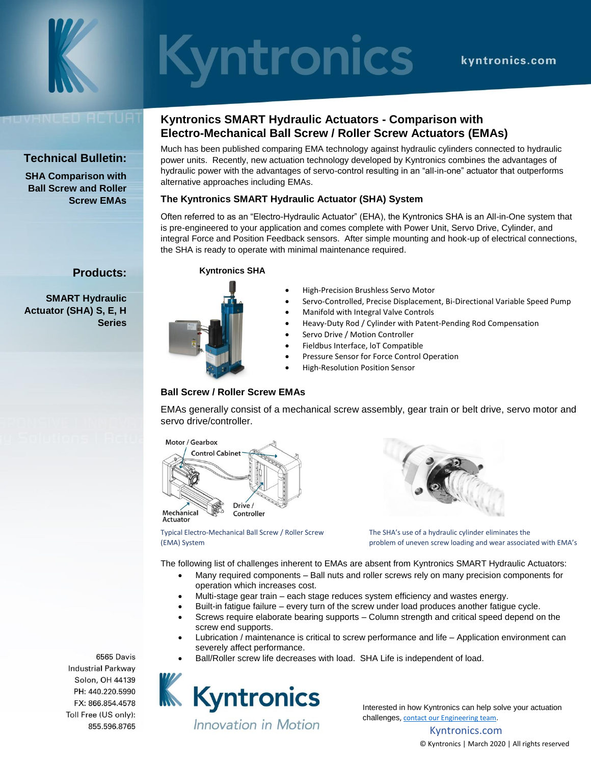

# **Syntronics**

# IVHNDED ACTUA

# **Technical Bulletin:**

**SHA Comparison with Ball Screw and Roller Screw EMAs**

**Products:**

**Series**

**SMART Hydraulic Actuator (SHA) S, E, H** 

# **Kyntronics SMART Hydraulic Actuators - Comparison with Electro-Mechanical Ball Screw / Roller Screw Actuators (EMAs)**

Much has been published comparing EMA technology against hydraulic cylinders connected to hydraulic power units. Recently, new actuation technology developed by Kyntronics combines the advantages of hydraulic power with the advantages of servo-control resulting in an "all-in-one" actuator that outperforms alternative approaches including EMAs.

#### **The Kyntronics SMART Hydraulic Actuator (SHA) System**

Often referred to as an "Electro-Hydraulic Actuator" (EHA), the Kyntronics SHA is an All-in-One system that is pre-engineered to your application and comes complete with Power Unit, Servo Drive, Cylinder, and integral Force and Position Feedback sensors. After simple mounting and hook-up of electrical connections, the SHA is ready to operate with minimal maintenance required.

#### **Kyntronics SHA**



- High-Precision Brushless Servo Motor
- Servo-Controlled, Precise Displacement, Bi-Directional Variable Speed Pump
- Manifold with Integral Valve Controls
- Heavy-Duty Rod / Cylinder with Patent-Pending Rod Compensation
- Servo Drive / Motion Controller
- Fieldbus Interface, loT Compatible
- Pressure Sensor for Force Control Operation
- High-Resolution Position Sensor

#### **Ball Screw / Roller Screw EMAs**

EMAs generally consist of a mechanical screw assembly, gear train or belt drive, servo motor and servo drive/controller.





Typical Electro-Mechanical Ball Screw / Roller Screw

The SHA's use of a hydraulic cylinder eliminates the (EMA) System problem of uneven screw loading and wear associated with EMA's

The following list of challenges inherent to EMAs are absent from Kyntronics SMART Hydraulic Actuators:

- Many required components Ball nuts and roller screws rely on many precision components for operation which increases cost.
- Multi-stage gear train each stage reduces system efficiency and wastes energy.
- Built-in fatigue failure every turn of the screw under load produces another fatigue cycle.
- Screws require elaborate bearing supports Column strength and critical speed depend on the screw end supports.
- Lubrication / maintenance is critical to screw performance and life Application environment can severely affect performance.
- Ball/Roller screw life decreases with load. SHA Life is independent of load.



Interested in how Kyntronics can help solve your actuation challenges[, contact our Engineering team.](https://kyntronics.com/how-to-buy)

> Kyntronics.com © Kyntronics | March 2020 | All rights reserved

6565 Davis **Industrial Parkway** FX: 866.854.4578 Toll Free (US only): 855.596.8765